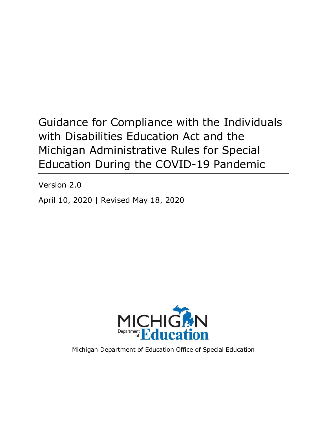# Guidance for Compliance with the Individuals with Disabilities Education Act and the Michigan Administrative Rules for Special Education During the COVID-19 Pandemic

Version 2.0

April 10, 2020 | Revised May 18, 2020



Michigan Department of Education Office of Special Education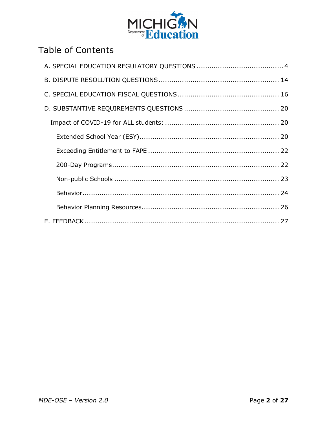

## **Table of Contents**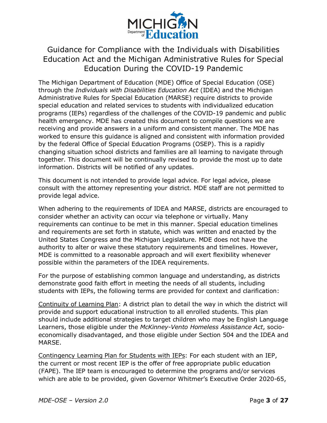

### Guidance for Compliance with the Individuals with Disabilities Education Act and the Michigan Administrative Rules for Special Education During the COVID-19 Pandemic

The Michigan Department of Education (MDE) Office of Special Education (OSE) through the *Individuals with Disabilities Education Act* (IDEA) and the Michigan Administrative Rules for Special Education (MARSE) require districts to provide special education and related services to students with individualized education programs (IEPs) regardless of the challenges of the COVID-19 pandemic and public health emergency. MDE has created this document to compile questions we are receiving and provide answers in a uniform and consistent manner. The MDE has worked to ensure this guidance is aligned and consistent with information provided by the federal Office of Special Education Programs (OSEP). This is a rapidly changing situation school districts and families are all learning to navigate through together. This document will be continually revised to provide the most up to date information. Districts will be notified of any updates.

This document is not intended to provide legal advice. For legal advice, please consult with the attorney representing your district. MDE staff are not permitted to provide legal advice.

When adhering to the requirements of IDEA and MARSE, districts are encouraged to consider whether an activity can occur via telephone or virtually. Many requirements can continue to be met in this manner. Special education timelines and requirements are set forth in statute, which was written and enacted by the United States Congress and the Michigan Legislature. MDE does not have the authority to alter or waive these statutory requirements and timelines. However, MDE is committed to a reasonable approach and will exert flexibility whenever possible within the parameters of the IDEA requirements.

For the purpose of establishing common language and understanding, as districts demonstrate good faith effort in meeting the needs of all students, including students with IEPs, the following terms are provided for context and clarification:

Continuity of Learning Plan: A district plan to detail the way in which the district will provide and support educational instruction to all enrolled students. This plan should include additional strategies to target children who may be English Language Learners, those eligible under the *McKinney-Vento Homeless Assistance Act*, socioeconomically disadvantaged, and those eligible under Section 504 and the IDEA and MARSE.

Contingency Learning Plan for Students with IEPs: For each student with an IEP, the current or most recent IEP is the offer of free appropriate public education (FAPE). The IEP team is encouraged to determine the programs and/or services which are able to be provided, given Governor Whitmer's Executive Order 2020-65,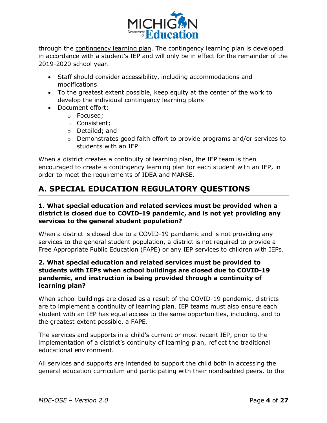

through the contingency learning plan. The contingency learning plan is developed in accordance with a student's IEP and will only be in effect for the remainder of the 2019-2020 school year.

- · Staff should consider accessibility, including accommodations and modifications
- · To the greatest extent possible, keep equity at the center of the work to develop the individual contingency learning plans
- · Document effort:
	- o Focused;
	- o Consistent;
	- o Detailed; and
	- $\circ$  Demonstrates good faith effort to provide programs and/or services to students with an IEP

When a district creates a continuity of learning plan, the IEP team is then encouraged to create a contingency learning plan for each student with an IEP, in order to meet the requirements of IDEA and MARSE.

## <span id="page-3-0"></span>**A. SPECIAL EDUCATION REGULATORY QUESTIONS**

#### **1. What special education and related services must be provided when a district is closed due to COVID-19 pandemic, and is not yet providing any services to the general student population?**

When a district is closed due to a COVID-19 pandemic and is not providing any services to the general student population, a district is not required to provide a Free Appropriate Public Education (FAPE) or any IEP services to children with IEPs.

#### **2. What special education and related services must be provided to students with IEPs when school buildings are closed due to COVID-19 pandemic, and instruction is being provided through a continuity of learning plan?**

When school buildings are closed as a result of the COVID-19 pandemic, districts are to implement a continuity of learning plan. IEP teams must also ensure each student with an IEP has equal access to the same opportunities, including, and to the greatest extent possible, a FAPE.

The services and supports in a child's current or most recent IEP, prior to the implementation of a district's continuity of learning plan, reflect the traditional educational environment.

All services and supports are intended to support the child both in accessing the general education curriculum and participating with their nondisabled peers, to the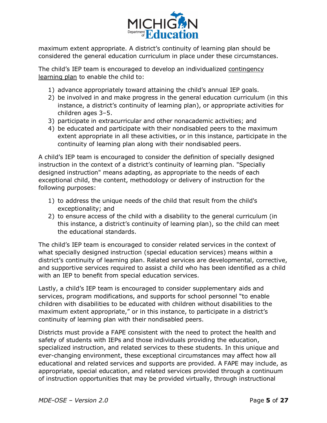

maximum extent appropriate. A district's continuity of learning plan should be considered the general education curriculum in place under these circumstances.

The child's IEP team is encouraged to develop an individualized contingency learning plan to enable the child to:

- 1) advance appropriately toward attaining the child's annual IEP goals.
- 2) be involved in and make progress in the general education curriculum (in this instance, a district's continuity of learning plan), or appropriate activities for children ages 3–5.
- 3) participate in extracurricular and other nonacademic activities; and
- 4) be educated and participate with their nondisabled peers to the maximum extent appropriate in all these activities, or in this instance, participate in the continuity of learning plan along with their nondisabled peers.

A child's IEP team is encouraged to consider the definition of specially designed instruction in the context of a district's continuity of learning plan. "Specially designed instruction" means adapting, as appropriate to the needs of each exceptional child, the content, methodology or delivery of instruction for the following purposes:

- 1) to address the unique needs of the child that result from the child's exceptionality; and
- 2) to ensure access of the child with a disability to the general curriculum (in this instance, a district's continuity of learning plan), so the child can meet the educational standards.

The child's IEP team is encouraged to consider related services in the context of what specially designed instruction (special education services) means within a district's continuity of learning plan. Related services are developmental, corrective, and supportive services required to assist a child who has been identified as a child with an IEP to benefit from special education services.

Lastly, a child's IEP team is encouraged to consider supplementary aids and services, program modifications, and supports for school personnel "to enable children with disabilities to be educated with children without disabilities to the maximum extent appropriate," or in this instance, to participate in a district's continuity of learning plan with their nondisabled peers.

Districts must provide a FAPE consistent with the need to protect the health and safety of students with IEPs and those individuals providing the education, specialized instruction, and related services to these students. In this unique and ever-changing environment, these exceptional circumstances may affect how all educational and related services and supports are provided. A FAPE may include, as appropriate, special education, and related services provided through a continuum of instruction opportunities that may be provided virtually, through instructional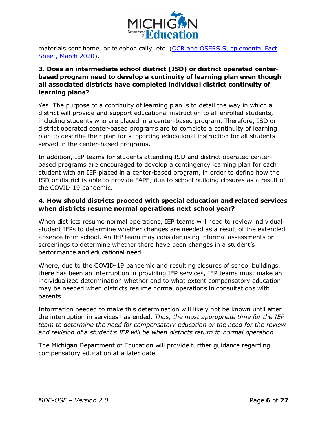

materials sent home, or telephonically, etc. (OCR and OSERS Supplemental Fact [Sheet, March 2020](https://www2.ed.gov/about/offices/list/ocr/frontpage/faq/rr/policyguidance/Supple Fact Sheet 3.21.20 FINAL.pdf)).

#### **3. Does an intermediate school district (ISD) or district operated centerbased program need to develop a continuity of learning plan even though all associated districts have completed individual district continuity of learning plans?**

Yes. The purpose of a continuity of learning plan is to detail the way in which a district will provide and support educational instruction to all enrolled students, including students who are placed in a center-based program. Therefore, ISD or district operated center-based programs are to complete a continuity of learning plan to describe their plan for supporting educational instruction for all students served in the center-based programs.

In addition, IEP teams for students attending ISD and district operated centerbased programs are encouraged to develop a contingency learning plan for each student with an IEP placed in a center-based program, in order to define how the ISD or district is able to provide FAPE, due to school building closures as a result of the COVID-19 pandemic.

#### **4. How should districts proceed with special education and related services when districts resume normal operations next school year?**

When districts resume normal operations, IEP teams will need to review individual student IEPs to determine whether changes are needed as a result of the extended absence from school. An IEP team may consider using informal assessments or screenings to determine whether there have been changes in a student's performance and educational need.

Where, due to the COVID-19 pandemic and resulting closures of school buildings, there has been an interruption in providing IEP services, IEP teams must make an individualized determination whether and to what extent compensatory education may be needed when districts resume normal operations in consultations with parents.

Information needed to make this determination will likely not be known until after the interruption in services has ended. *Thus, the most appropriate time for the IEP team to determine the need for compensatory education or the need for the review and revision of a student's IEP will be when districts return to normal operation*.

The Michigan Department of Education will provide further guidance regarding compensatory education at a later date.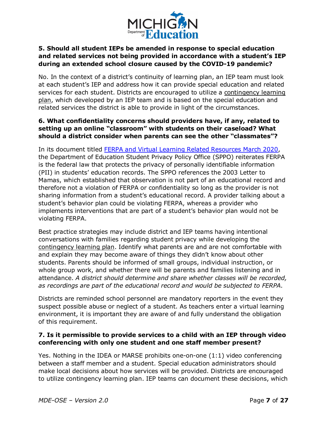

#### **5. Should all student IEPs be amended in response to special education and related services not being provided in accordance with a student's IEP during an extended school closure caused by the COVID-19 pandemic?**

No. In the context of a district's continuity of learning plan, an IEP team must look at each student's IEP and address how it can provide special education and related services for each student. Districts are encouraged to utilize a contingency learning plan, which developed by an IEP team and is based on the special education and related services the district is able to provide in light of the circumstances.

#### **6. What confidentiality concerns should providers have, if any, related to setting up an online "classroom" with students on their caseload? What should a district consider when parents can see the other "classmates"?**

In its document titled [FERPA and Virtual Learning Related Resources March 2020,](https://studentprivacy.ed.gov/sites/default/files/resource_document/file/FERPA  Virtual Learning 032020_FINAL.pdf) the Department of Education Student Privacy Policy Office (SPPO) reiterates FERPA is the federal law that protects the privacy of personally identifiable information (PII) in students' education records. The SPPO references the 2003 Letter to Mamas, which established that observation is not part of an educational record and therefore not a violation of FERPA or confidentiality so long as the provider is not sharing information from a student's educational record. A provider talking about a student's behavior plan could be violating FERPA, whereas a provider who implements interventions that are part of a student's behavior plan would not be violating FERPA.

Best practice strategies may include district and IEP teams having intentional conversations with families regarding student privacy while developing the contingency learning plan. Identify what parents are and are not comfortable with and explain they may become aware of things they didn't know about other students. Parents should be informed of small groups, individual instruction, or whole group work, and whether there will be parents and families listening and in attendance. *A district should determine and share whether classes will be recorded, as recordings are part of the educational record and would be subjected to FERPA*.

Districts are reminded school personnel are mandatory reporters in the event they suspect possible abuse or neglect of a student. As teachers enter a virtual learning environment, it is important they are aware of and fully understand the obligation of this requirement.

#### **7. Is it permissible to provide services to a child with an IEP through video conferencing with only one student and one staff member present?**

Yes. Nothing in the IDEA or MARSE prohibits one-on-one (1:1) video conferencing between a staff member and a student. Special education administrators should make local decisions about how services will be provided. Districts are encouraged to utilize contingency learning plan. IEP teams can document these decisions, which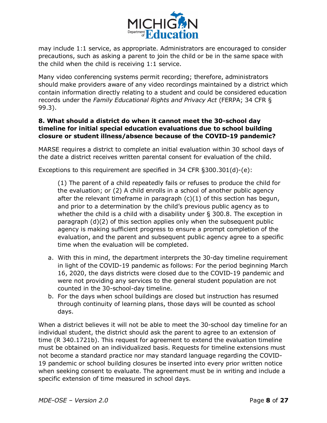

may include 1:1 service, as appropriate. Administrators are encouraged to consider precautions, such as asking a parent to join the child or be in the same space with the child when the child is receiving 1:1 service.

Many video conferencing systems permit recording; therefore, administrators should make providers aware of any video recordings maintained by a district which contain information directly relating to a student and could be considered education records under the *Family Educational Rights and Privacy Act* (FERPA; 34 CFR § 99.3).

#### **8. What should a district do when it cannot meet the 30-school day timeline for initial special education evaluations due to school building closure or student illness/absence because of the COVID-19 pandemic?**

MARSE requires a district to complete an initial evaluation within 30 school days of the date a district receives written parental consent for evaluation of the child.

Exceptions to this requirement are specified in 34 CFR §300.301(d)-(e):

(1) The parent of a child repeatedly fails or refuses to produce the child for the evaluation; or (2) A child enrolls in a school of another public agency after the relevant timeframe in paragraph  $(c)(1)$  of this section has begun, and prior to a determination by the child's previous public agency as to whether the child is a child with a disability under § 300.8. The exception in paragraph (d)(2) of this section applies only when the subsequent public agency is making sufficient progress to ensure a prompt completion of the evaluation, and the parent and subsequent public agency agree to a specific time when the evaluation will be completed.

- a. With this in mind, the department interprets the 30-day timeline requirement in light of the COVID-19 pandemic as follows: For the period beginning March 16, 2020, the days districts were closed due to the COVID-19 pandemic and were not providing any services to the general student population are not counted in the 30-school-day timeline.
- b. For the days when school buildings are closed but instruction has resumed through continuity of learning plans, those days will be counted as school days.

When a district believes it will not be able to meet the 30-school day timeline for an individual student, the district should ask the parent to agree to an extension of time (R 340.1721b). This request for agreement to extend the evaluation timeline must be obtained on an individualized basis. Requests for timeline extensions must not become a standard practice nor may standard language regarding the COVID-19 pandemic or school building closures be inserted into every prior written notice when seeking consent to evaluate. The agreement must be in writing and include a specific extension of time measured in school days.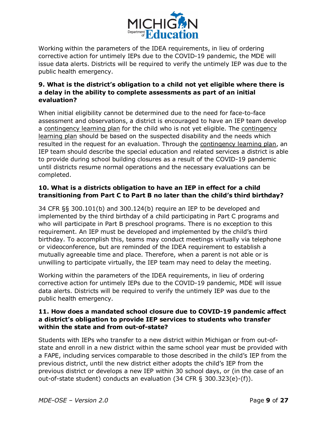

Working within the parameters of the IDEA requirements, in lieu of ordering corrective action for untimely IEPs due to the COVID-19 pandemic, the MDE will issue data alerts. Districts will be required to verify the untimely IEP was due to the public health emergency.

#### **9. What is the district's obligation to a child not yet eligible where there is a delay in the ability to complete assessments as part of an initial evaluation?**

When initial eligibility cannot be determined due to the need for face-to-face assessment and observations, a district is encouraged to have an IEP team develop a contingency learning plan for the child who is not yet eligible. The contingency learning plan should be based on the suspected disability and the needs which resulted in the request for an evaluation. Through the contingency learning plan, an IEP team should describe the special education and related services a district is able to provide during school building closures as a result of the COVID-19 pandemic until districts resume normal operations and the necessary evaluations can be completed.

#### **10. What is a districts obligation to have an IEP in effect for a child transitioning from Part C to Part B no later than the child's third birthday?**

34 CFR §§ 300.101(b) and 300.124(b) require an IEP to be developed and implemented by the third birthday of a child participating in Part C programs and who will participate in Part B preschool programs. There is no exception to this requirement. An IEP must be developed and implemented by the child's third birthday. To accomplish this, teams may conduct meetings virtually via telephone or videoconference, but are reminded of the IDEA requirement to establish a mutually agreeable time and place. Therefore, when a parent is not able or is unwilling to participate virtually, the IEP team may need to delay the meeting.

Working within the parameters of the IDEA requirements, in lieu of ordering corrective action for untimely IEPs due to the COVID-19 pandemic, MDE will issue data alerts. Districts will be required to verify the untimely IEP was due to the public health emergency.

#### **11. How does a mandated school closure due to COVID-19 pandemic affect a district's obligation to provide IEP services to students who transfer within the state and from out-of-state?**

Students with IEPs who transfer to a new district within Michigan or from out-ofstate and enroll in a new district within the same school year must be provided with a FAPE, including services comparable to those described in the child's IEP from the previous district, until the new district either adopts the child's IEP from the previous district or develops a new IEP within 30 school days, or (in the case of an out-of-state student) conducts an evaluation (34 CFR § 300.323(e)-(f)).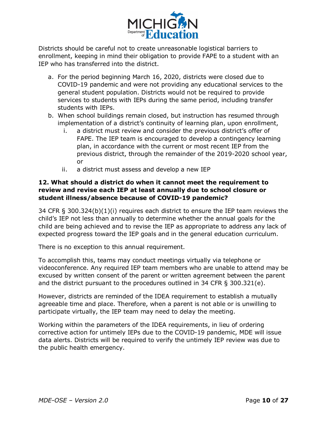

Districts should be careful not to create unreasonable logistical barriers to enrollment, keeping in mind their obligation to provide FAPE to a student with an IEP who has transferred into the district.

- a. For the period beginning March 16, 2020, districts were closed due to COVID-19 pandemic and were not providing any educational services to the general student population. Districts would not be required to provide services to students with IEPs during the same period, including transfer students with IEPs.
- b. When school buildings remain closed, but instruction has resumed through implementation of a district's continuity of learning plan, upon enrollment,
	- i. a district must review and consider the previous district's offer of FAPE. The IEP team is encouraged to develop a contingency learning plan, in accordance with the current or most recent IEP from the previous district, through the remainder of the 2019-2020 school year, or
	- ii. a district must assess and develop a new IEP

#### **12. What should a district do when it cannot meet the requirement to review and revise each IEP at least annually due to school closure or student illness/absence because of COVID-19 pandemic?**

34 CFR § 300.324(b)(1)(i) requires each district to ensure the IEP team reviews the child's IEP not less than annually to determine whether the annual goals for the child are being achieved and to revise the IEP as appropriate to address any lack of expected progress toward the IEP goals and in the general education curriculum.

There is no exception to this annual requirement.

To accomplish this, teams may conduct meetings virtually via telephone or videoconference. Any required IEP team members who are unable to attend may be excused by written consent of the parent or written agreement between the parent and the district pursuant to the procedures outlined in 34 CFR § 300.321(e).

However, districts are reminded of the IDEA requirement to establish a mutually agreeable time and place. Therefore, when a parent is not able or is unwilling to participate virtually, the IEP team may need to delay the meeting.

Working within the parameters of the IDEA requirements, in lieu of ordering corrective action for untimely IEPs due to the COVID-19 pandemic, MDE will issue data alerts. Districts will be required to verify the untimely IEP review was due to the public health emergency.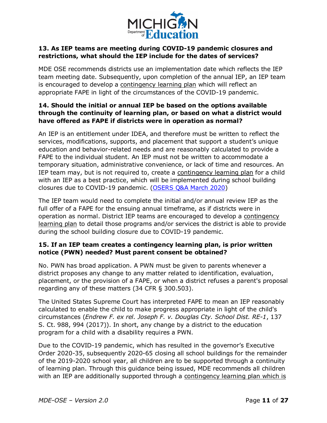

#### **13. As IEP teams are meeting during COVID-19 pandemic closures and restrictions, what should the IEP include for the dates of services?**

MDE OSE recommends districts use an implementation date which reflects the IEP team meeting date. Subsequently, upon completion of the annual IEP, an IEP team is encouraged to develop a contingency learning plan which will reflect an appropriate FAPE in light of the circumstances of the COVID-19 pandemic.

#### **14. Should the initial or annual IEP be based on the options available through the continuity of learning plan, or based on what a district would have offered as FAPE if districts were in operation as normal?**

An IEP is an entitlement under IDEA, and therefore must be written to reflect the services, modifications, supports, and placement that support a student's unique education and behavior-related needs and are reasonably calculated to provide a FAPE to the individual student. An IEP must not be written to accommodate a temporary situation, administrative convenience, or lack of time and resources. An IEP team may, but is not required to, create a contingency learning plan for a child with an IEP as a best practice, which will be implemented during school building closures due to COVID-19 pandemic. [\(OSERS Q&A March 2020](https://sites.ed.gov/idea/files/qa-covid-19-03-12-2020.pdf))

The IEP team would need to complete the initial and/or annual review IEP as the full offer of a FAPE for the ensuing annual timeframe, as if districts were in operation as normal. District IEP teams are encouraged to develop a contingency learning plan to detail those programs and/or services the district is able to provide during the school building closure due to COVID-19 pandemic.

#### **15. If an IEP team creates a contingency learning plan, is prior written notice (PWN) needed? Must parent consent be obtained?**

No. PWN has broad application. A PWN must be given to parents whenever a district proposes any change to any matter related to identification, evaluation, placement, or the provision of a FAPE, or when a district refuses a parent's proposal regarding any of these matters (34 CFR § 300.503).

The United States Supreme Court has interpreted FAPE to mean an IEP reasonably calculated to enable the child to make progress appropriate in light of the child's circumstances (*Endrew F. ex rel. Joseph F. v. Douglas Cty. School Dist. RE-1*, 137 S. Ct. 988, 994 (2017)). In short, any change by a district to the education program for a child with a disability requires a PWN.

Due to the COVID-19 pandemic, which has resulted in the governor's Executive Order 2020-35, subsequently 2020-65 closing all school buildings for the remainder of the 2019-2020 school year, all children are to be supported through a continuity of learning plan. Through this guidance being issued, MDE recommends all children with an IEP are additionally supported through a contingency learning plan which is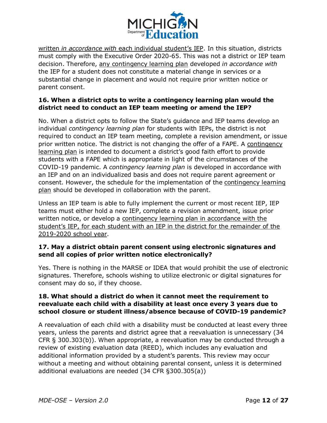

written *in accordance with* each individual student's IEP. In this situation, districts must comply with the Executive Order 2020-65. This was not a district or IEP team decision. Therefore, any contingency learning plan developed *in accordance with* the IEP for a student does not constitute a material change in services or a substantial change in placement and would not require prior written notice or parent consent.

#### **16. When a district opts to write a contingency learning plan would the district need to conduct an IEP team meeting or amend the IEP?**

No. When a district opts to follow the State's guidance and IEP teams develop an individual *contingency learning plan* for students with IEPs, the district is not required to conduct an IEP team meeting, complete a revision amendment, or issue prior written notice. The district is not changing the offer of a FAPE. A contingency learning plan is intended to document a district's good faith effort to provide students with a FAPE which is appropriate in light of the circumstances of the COVID-19 pandemic. A *contingency learning plan* is developed in accordance with an IEP and on an individualized basis and does not require parent agreement or consent. However, the schedule for the implementation of the contingency learning plan should be developed in collaboration with the parent.

Unless an IEP team is able to fully implement the current or most recent IEP, IEP teams must either hold a new IEP, complete a revision amendment, issue prior written notice, or develop a contingency learning plan in accordance with the student's IEP, for each student with an IEP in the district for the remainder of the 2019-2020 school year.

#### **17. May a district obtain parent consent using electronic signatures and send all copies of prior written notice electronically?**

Yes. There is nothing in the MARSE or IDEA that would prohibit the use of electronic signatures. Therefore, schools wishing to utilize electronic or digital signatures for consent may do so, if they choose.

#### **18. What should a district do when it cannot meet the requirement to reevaluate each child with a disability at least once every 3 years due to school closure or student illness/absence because of COVID-19 pandemic?**

A reevaluation of each child with a disability must be conducted at least every three years, unless the parents and district agree that a reevaluation is unnecessary (34 CFR § 300.303(b)). When appropriate, a reevaluation may be conducted through a review of existing evaluation data (REED), which includes any evaluation and additional information provided by a student's parents. This review may occur without a meeting and without obtaining parental consent, unless it is determined additional evaluations are needed (34 CFR §300.305(a))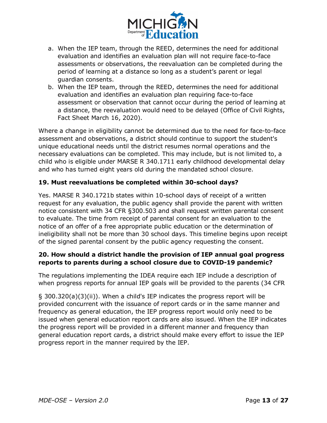

- a. When the IEP team, through the REED, determines the need for additional evaluation and identifies an evaluation plan will not require face-to-face assessments or observations, the reevaluation can be completed during the period of learning at a distance so long as a student's parent or legal guardian consents.
- b. When the IEP team, through the REED, determines the need for additional evaluation and identifies an evaluation plan requiring face-to-face assessment or observation that cannot occur during the period of learning at a distance, the reevaluation would need to be delayed (Office of Civil Rights, Fact Sheet March 16, 2020).

Where a change in eligibility cannot be determined due to the need for face-to-face assessment and observations, a district should continue to support the student's unique educational needs until the district resumes normal operations and the necessary evaluations can be completed. This may include, but is not limited to, a child who is eligible under MARSE R 340.1711 early childhood developmental delay and who has turned eight years old during the mandated school closure.

#### **19. Must reevaluations be completed within 30-school days?**

Yes. MARSE R 340.1721b states within 10-school days of receipt of a written request for any evaluation, the public agency shall provide the parent with written notice consistent with 34 CFR §300.503 and shall request written parental consent to evaluate. The time from receipt of parental consent for an evaluation to the notice of an offer of a free appropriate public education or the determination of ineligibility shall not be more than 30 school days. This timeline begins upon receipt of the signed parental consent by the public agency requesting the consent.

#### **20. How should a district handle the provision of IEP annual goal progress reports to parents during a school closure due to COVID-19 pandemic?**

The regulations implementing the IDEA require each IEP include a description of when progress reports for annual IEP goals will be provided to the parents (34 CFR

§ 300.320(a)(3)(ii)). When a child's IEP indicates the progress report will be provided concurrent with the issuance of report cards or in the same manner and frequency as general education, the IEP progress report would only need to be issued when general education report cards are also issued. When the IEP indicates the progress report will be provided in a different manner and frequency than general education report cards, a district should make every effort to issue the IEP progress report in the manner required by the IEP.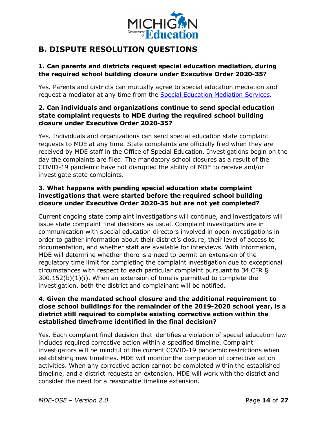

## <span id="page-13-0"></span>**B. DISPUTE RESOLUTION QUESTIONS**

#### **1. Can parents and districts request special education mediation, during the required school building closure under Executive Order 2020-35?**

Yes. Parents and districts can mutually agree to special education mediation and request a mediator at any time from the [Special Education Mediation Services](https://mikids1st.org/).

#### **2. Can individuals and organizations continue to send special education state complaint requests to MDE during the required school building closure under Executive Order 2020-35?**

Yes. Individuals and organizations can send special education state complaint requests to MDE at any time. State complaints are officially filed when they are received by MDE staff in the Office of Special Education. Investigations begin on the day the complaints are filed. The mandatory school closures as a result of the COVID-19 pandemic have not disrupted the ability of MDE to receive and/or investigate state complaints.

#### **3. What happens with pending special education state complaint investigations that were started before the required school building closure under Executive Order 2020-35 but are not yet completed?**

Current ongoing state complaint investigations will continue, and investigators will issue state complaint final decisions as usual. Complaint investigators are in communication with special education directors involved in open investigations in order to gather information about their district's closure, their level of access to documentation, and whether staff are available for interviews. With information, MDE will determine whether there is a need to permit an extension of the regulatory time limit for completing the complaint investigation due to exceptional circumstances with respect to each particular complaint pursuant to 34 CFR § 300.152(b)(1)(i). When an extension of time is permitted to complete the investigation, both the district and complainant will be notified.

#### **4. Given the mandated school closure and the additional requirement to close school buildings for the remainder of the 2019-2020 school year, is a district still required to complete existing corrective action within the established timeframe identified in the final decision?**

Yes. Each complaint final decision that identifies a violation of special education law includes required corrective action within a specified timeline. Complaint investigators will be mindful of the current COVID-19 pandemic restrictions when establishing new timelines. MDE will monitor the completion of corrective action activities. When any corrective action cannot be completed within the established timeline, and a district requests an extension, MDE will work with the district and consider the need for a reasonable timeline extension.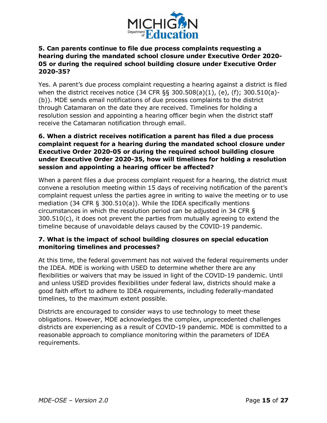

#### **5. Can parents continue to file due process complaints requesting a hearing during the mandated school closure under Executive Order 2020- 05 or during the required school building closure under Executive Order 2020-35?**

Yes. A parent's due process complaint requesting a hearing against a district is filed when the district receives notice (34 CFR §§ 300.508(a)(1), (e), (f); 300.510(a)- (b)). MDE sends email notifications of due process complaints to the district through Catamaran on the date they are received. Timelines for holding a resolution session and appointing a hearing officer begin when the district staff receive the Catamaran notification through email.

#### **6. When a district receives notification a parent has filed a due process complaint request for a hearing during the mandated school closure under Executive Order 2020-05 or during the required school building closure under Executive Order 2020-35, how will timelines for holding a resolution session and appointing a hearing officer be affected?**

When a parent files a due process complaint request for a hearing, the district must convene a resolution meeting within 15 days of receiving notification of the parent's complaint request unless the parties agree in writing to waive the meeting or to use mediation (34 CFR § 300.510(a)). While the IDEA specifically mentions circumstances in which the resolution period can be adjusted in 34 CFR § 300.510(c), it does not prevent the parties from mutually agreeing to extend the timeline because of unavoidable delays caused by the COVID-19 pandemic.

#### **7. What is the impact of school building closures on special education monitoring timelines and processes?**

At this time, the federal government has not waived the federal requirements under the IDEA. MDE is working with USED to determine whether there are any flexibilities or waivers that may be issued in light of the COVID-19 pandemic. Until and unless USED provides flexibilities under federal law, districts should make a good faith effort to adhere to IDEA requirements, including federally-mandated timelines, to the maximum extent possible.

Districts are encouraged to consider ways to use technology to meet these obligations. However, MDE acknowledges the complex, unprecedented challenges districts are experiencing as a result of COVID-19 pandemic. MDE is committed to a reasonable approach to compliance monitoring within the parameters of IDEA requirements.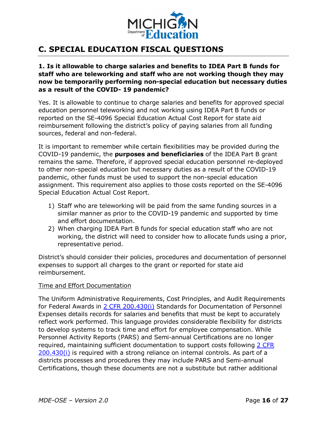

## <span id="page-15-0"></span>**C. SPECIAL EDUCATION FISCAL QUESTIONS**

#### **1. Is it allowable to charge salaries and benefits to IDEA Part B funds for staff who are teleworking and staff who are not working though they may now be temporarily performing non-special education but necessary duties as a result of the COVID- 19 pandemic?**

Yes. It is allowable to continue to charge salaries and benefits for approved special education personnel teleworking and not working using IDEA Part B funds or reported on the SE-4096 Special Education Actual Cost Report for state aid reimbursement following the district's policy of paying salaries from all funding sources, federal and non-federal.

It is important to remember while certain flexibilities may be provided during the COVID-19 pandemic, the **purposes and beneficiaries** of the IDEA Part B grant remains the same. Therefore, if approved special education personnel re-deployed to other non-special education but necessary duties as a result of the COVID-19 pandemic, other funds must be used to support the non-special education assignment. This requirement also applies to those costs reported on the SE-4096 Special Education Actual Cost Report.

- 1) Staff who are teleworking will be paid from the same funding sources in a similar manner as prior to the COVID-19 pandemic and supported by time and effort documentation.
- 2) When charging IDEA Part B funds for special education staff who are not working, the district will need to consider how to allocate funds using a prior, representative period.

District's should consider their policies, procedures and documentation of personnel expenses to support all charges to the grant or reported for state aid reimbursement.

#### Time and Effort Documentation

The Uniform Administrative Requirements, Cost Principles, and Audit Requirements for Federal Awards in [2 CFR 200.430\(i\)](https://www.ecfr.gov/cgi-bin/retrieveECFR?gp=&SID=48aa56ae4925c49cf9f267afcb548e3a&mc=true&n=pt2.1.200&r=PART&ty=HTML#se2.1.200_1430) Standards for Documentation of Personnel Expenses details records for salaries and benefits that must be kept to accurately reflect work performed. This language provides considerable flexibility for districts to develop systems to track time and effort for employee compensation. While Personnel Activity Reports (PARS) and Semi-annual Certifications are no longer required, maintaining sufficient documentation to support costs following [2 CFR](https://www.ecfr.gov/cgi-bin/retrieveECFR?gp=&SID=48aa56ae4925c49cf9f267afcb548e3a&mc=true&n=pt2.1.200&r=PART&ty=HTML#se2.1.200_1430)  [200.430\(i\)](https://www.ecfr.gov/cgi-bin/retrieveECFR?gp=&SID=48aa56ae4925c49cf9f267afcb548e3a&mc=true&n=pt2.1.200&r=PART&ty=HTML#se2.1.200_1430) is required with a strong reliance on internal controls. As part of a districts processes and procedures they may include PARS and Semi-annual Certifications, though these documents are not a substitute but rather additional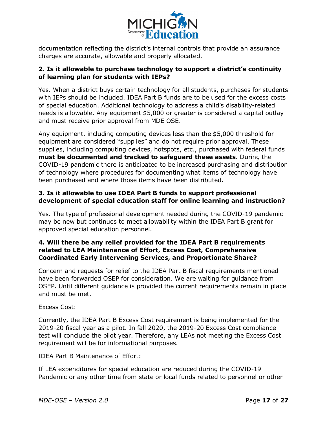

documentation reflecting the district's internal controls that provide an assurance charges are accurate, allowable and properly allocated.

#### **2. Is it allowable to purchase technology to support a district's continuity of learning plan for students with IEPs?**

Yes. When a district buys certain technology for all students, purchases for students with IEPs should be included. IDEA Part B funds are to be used for the excess costs of special education. Additional technology to address a child's disability-related needs is allowable. Any equipment \$5,000 or greater is considered a capital outlay and must receive prior approval from MDE OSE.

Any equipment, including computing devices less than the \$5,000 threshold for equipment are considered "supplies" and do not require prior approval. These supplies, including computing devices, hotspots, etc., purchased with federal funds **must be documented and tracked to safeguard these assets**. During the COVID-19 pandemic there is anticipated to be increased purchasing and distribution of technology where procedures for documenting what items of technology have been purchased and where those items have been distributed.

#### **3. Is it allowable to use IDEA Part B funds to support professional development of special education staff for online learning and instruction?**

Yes. The type of professional development needed during the COVID-19 pandemic may be new but continues to meet allowability within the IDEA Part B grant for approved special education personnel.

#### **4. Will there be any relief provided for the IDEA Part B requirements related to LEA Maintenance of Effort, Excess Cost, Comprehensive Coordinated Early Intervening Services, and Proportionate Share?**

Concern and requests for relief to the IDEA Part B fiscal requirements mentioned have been forwarded OSEP for consideration. We are waiting for guidance from OSEP. Until different guidance is provided the current requirements remain in place and must be met.

#### Excess Cost:

Currently, the IDEA Part B Excess Cost requirement is being implemented for the 2019-20 fiscal year as a pilot. In fall 2020, the 2019-20 Excess Cost compliance test will conclude the pilot year. Therefore, any LEAs not meeting the Excess Cost requirement will be for informational purposes.

#### IDEA Part B Maintenance of Effort:

If LEA expenditures for special education are reduced during the COVID-19 Pandemic or any other time from state or local funds related to personnel or other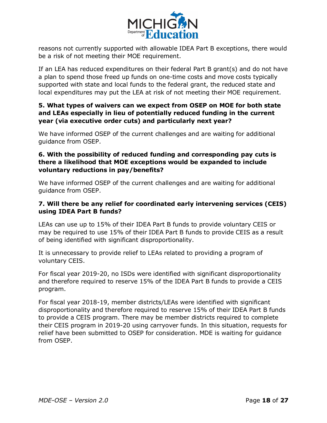

reasons not currently supported with allowable IDEA Part B exceptions, there would be a risk of not meeting their MOE requirement.

If an LEA has reduced expenditures on their federal Part B grant(s) and do not have a plan to spend those freed up funds on one-time costs and move costs typically supported with state and local funds to the federal grant, the reduced state and local expenditures may put the LEA at risk of not meeting their MOE requirement.

#### **5. What types of waivers can we expect from OSEP on MOE for both state and LEAs especially in lieu of potentially reduced funding in the current year (via executive order cuts) and particularly next year?**

We have informed OSEP of the current challenges and are waiting for additional guidance from OSEP.

#### **6. With the possibility of reduced funding and corresponding pay cuts is there a likelihood that MOE exceptions would be expanded to include voluntary reductions in pay/benefits?**

We have informed OSEP of the current challenges and are waiting for additional guidance from OSEP.

#### **7. Will there be any relief for coordinated early intervening services (CEIS) using IDEA Part B funds?**

LEAs can use up to 15% of their IDEA Part B funds to provide voluntary CEIS or may be required to use 15% of their IDEA Part B funds to provide CEIS as a result of being identified with significant disproportionality.

It is unnecessary to provide relief to LEAs related to providing a program of voluntary CEIS.

For fiscal year 2019-20, no ISDs were identified with significant disproportionality and therefore required to reserve 15% of the IDEA Part B funds to provide a CEIS program.

For fiscal year 2018-19, member districts/LEAs were identified with significant disproportionality and therefore required to reserve 15% of their IDEA Part B funds to provide a CEIS program. There may be member districts required to complete their CEIS program in 2019-20 using carryover funds. In this situation, requests for relief have been submitted to OSEP for consideration. MDE is waiting for guidance from OSEP.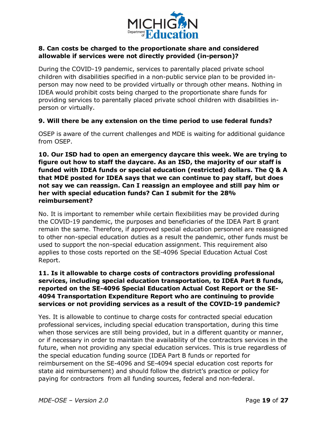

#### **8. Can costs be charged to the proportionate share and considered allowable if services were not directly provided (in-person)?**

During the COVID-19 pandemic, services to parentally placed private school children with disabilities specified in a non-public service plan to be provided inperson may now need to be provided virtually or through other means. Nothing in IDEA would prohibit costs being charged to the proportionate share funds for providing services to parentally placed private school children with disabilities inperson or virtually.

#### **9. Will there be any extension on the time period to use federal funds?**

OSEP is aware of the current challenges and MDE is waiting for additional guidance from OSEP.

**10. Our ISD had to open an emergency daycare this week. We are trying to figure out how to staff the daycare. As an ISD, the majority of our staff is funded with IDEA funds or special education (restricted) dollars. The Q & A that MDE posted for IDEA says that we can continue to pay staff, but does not say we can reassign. Can I reassign an employee and still pay him or her with special education funds? Can I submit for the 28% reimbursement?**

No. It is important to remember while certain flexibilities may be provided during the COVID-19 pandemic, the purposes and beneficiaries of the IDEA Part B grant remain the same. Therefore, if approved special education personnel are reassigned to other non-special education duties as a result the pandemic, other funds must be used to support the non-special education assignment. This requirement also applies to those costs reported on the SE-4096 Special Education Actual Cost Report.

#### **11. Is it allowable to charge costs of contractors providing professional services, including special education transportation, to IDEA Part B funds, reported on the SE-4096 Special Education Actual Cost Report or the SE-4094 Transportation Expenditure Report who are continuing to provide services or not providing services as a result of the COVID-19 pandemic?**

Yes. It is allowable to continue to charge costs for contracted special education professional services, including special education transportation, during this time when those services are still being provided, but in a different quantity or manner, or if necessary in order to maintain the availability of the contractors services in the future, when not providing any special education services. This is true regardless of the special education funding source (IDEA Part B funds or reported for reimbursement on the SE-4096 and SE-4094 special education cost reports for state aid reimbursement) and should follow the district's practice or policy for paying for contractors from all funding sources, federal and non-federal.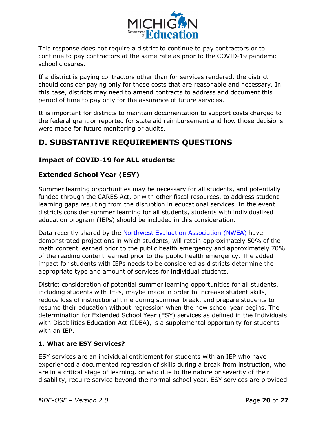

This response does not require a district to continue to pay contractors or to continue to pay contractors at the same rate as prior to the COVID-19 pandemic school closures.

If a district is paying contractors other than for services rendered, the district should consider paying only for those costs that are reasonable and necessary. In this case, districts may need to amend contracts to address and document this period of time to pay only for the assurance of future services.

It is important for districts to maintain documentation to support costs charged to the federal grant or reported for state aid reimbursement and how those decisions were made for future monitoring or audits.

## <span id="page-19-0"></span>**D. SUBSTANTIVE REQUIREMENTS QUESTIONS**

#### <span id="page-19-1"></span>**Impact of COVID-19 for ALL students:**

#### <span id="page-19-2"></span>**Extended School Year (ESY)**

Summer learning opportunities may be necessary for all students, and potentially funded through the CARES Act, or with other fiscal resources, to address student learning gaps resulting from the disruption in educational services. In the event districts consider summer learning for all students, students with individualized education program (IEPs) should be included in this consideration.

Data recently shared by the [Northwest Evaluation Association \(NWEA\)](https://www.nwea.org/content/uploads/2020/05/Collaborative-Brief_Covid19-Slide-APR20.pdf) have demonstrated projections in which students, will retain approximately 50% of the math content learned prior to the public health emergency and approximately 70% of the reading content learned prior to the public health emergency. The added impact for students with IEPs needs to be considered as districts determine the appropriate type and amount of services for individual students.

District consideration of potential summer learning opportunities for all students, including students with IEPs, maybe made in order to increase student skills, reduce loss of instructional time during summer break, and prepare students to resume their education without regression when the new school year begins. The determination for Extended School Year (ESY) services as defined in the Individuals with Disabilities Education Act (IDEA), is a supplemental opportunity for students with an IEP.

#### **1. What are ESY Services?**

ESY services are an individual entitlement for students with an IEP who have experienced a documented regression of skills during a break from instruction, who are in a critical stage of learning, or who due to the nature or severity of their disability, require service beyond the normal school year. ESY services are provided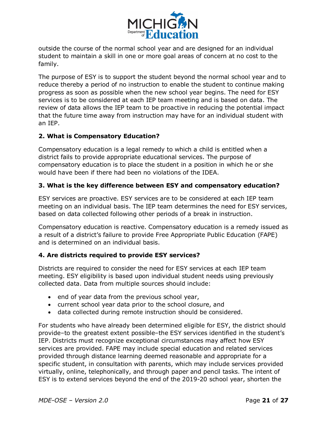

outside the course of the normal school year and are designed for an individual student to maintain a skill in one or more goal areas of concern at no cost to the family.

The purpose of ESY is to support the student beyond the normal school year and to reduce thereby a period of no instruction to enable the student to continue making progress as soon as possible when the new school year begins. The need for ESY services is to be considered at each IEP team meeting and is based on data. The review of data allows the IEP team to be proactive in reducing the potential impact that the future time away from instruction may have for an individual student with an IEP.

#### **2. What is Compensatory Education?**

Compensatory education is a legal remedy to which a child is entitled when a district fails to provide appropriate educational services. The purpose of compensatory education is to place the student in a position in which he or she would have been if there had been no violations of the IDEA.

#### **3. What is the key difference between ESY and compensatory education?**

ESY services are proactive. ESY services are to be considered at each IEP team meeting on an individual basis. The IEP team determines the need for ESY services, based on data collected following other periods of a break in instruction.

Compensatory education is reactive. Compensatory education is a remedy issued as a result of a district's failure to provide Free Appropriate Public Education (FAPE) and is determined on an individual basis.

#### **4. Are districts required to provide ESY services?**

Districts are required to consider the need for ESY services at each IEP team meeting. ESY eligibility is based upon individual student needs using previously collected data. Data from multiple sources should include:

- · end of year data from the previous school year,
- · current school year data prior to the school closure, and
- · data collected during remote instruction should be considered.

For students who have already been determined eligible for ESY, the district should provide–to the greatest extent possible–the ESY services identified in the student's IEP. Districts must recognize exceptional circumstances may affect how ESY services are provided. FAPE may include special education and related services provided through distance learning deemed reasonable and appropriate for a specific student, in consultation with parents, which may include services provided virtually, online, telephonically, and through paper and pencil tasks. The intent of ESY is to extend services beyond the end of the 2019-20 school year, shorten the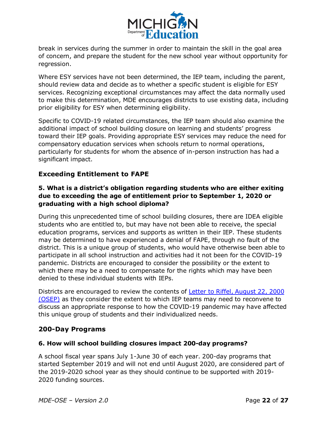

break in services during the summer in order to maintain the skill in the goal area of concern, and prepare the student for the new school year without opportunity for regression.

Where ESY services have not been determined, the IEP team, including the parent, should review data and decide as to whether a specific student is eligible for ESY services. Recognizing exceptional circumstances may affect the data normally used to make this determination, MDE encourages districts to use existing data, including prior eligibility for ESY when determining eligibility.

Specific to COVID-19 related circumstances, the IEP team should also examine the additional impact of school building closure on learning and students' progress toward their IEP goals. Providing appropriate ESY services may reduce the need for compensatory education services when schools return to normal operations, particularly for students for whom the absence of in-person instruction has had a significant impact.

#### <span id="page-21-0"></span>**Exceeding Entitlement to FAPE**

#### **5. What is a district's obligation regarding students who are either exiting due to exceeding the age of entitlement prior to September 1, 2020 or graduating with a high school diploma?**

During this unprecedented time of school building closures, there are IDEA eligible students who are entitled to, but may have not been able to receive, the special education programs, services and supports as written in their IEP. These students may be determined to have experienced a denial of FAPE, through no fault of the district. This is a unique group of students, who would have otherwise been able to participate in all school instruction and activities had it not been for the COVID-19 pandemic. Districts are encouraged to consider the possibility or the extent to which there may be a need to compensate for the rights which may have been denied to these individual students with IEPs.

Districts are encouraged to review the contents of [Letter to Riffel, August 22, 2000](https://www2.ed.gov/policy/speced/guid/idea/letters/2000-3/riffel82200fapesec.pdf)  [\(OSEP\)](https://www2.ed.gov/policy/speced/guid/idea/letters/2000-3/riffel82200fapesec.pdf) as they consider the extent to which IEP teams may need to reconvene to discuss an appropriate response to how the COVID-19 pandemic may have affected this unique group of students and their individualized needs.

#### <span id="page-21-1"></span>**200-Day Programs**

#### **6. How will school building closures impact 200-day programs?**

A school fiscal year spans July 1-June 30 of each year. 200-day programs that started September 2019 and will not end until August 2020, are considered part of the 2019-2020 school year as they should continue to be supported with 2019- 2020 funding sources.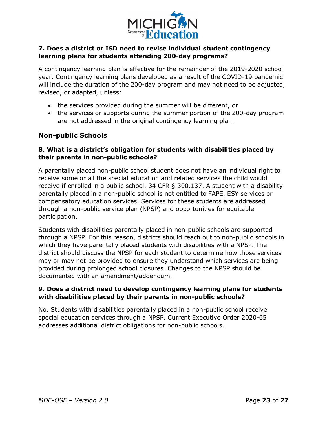

#### **7. Does a district or ISD need to revise individual student contingency learning plans for students attending 200-day programs?**

A contingency learning plan is effective for the remainder of the 2019-2020 school year. Contingency learning plans developed as a result of the COVID-19 pandemic will include the duration of the 200-day program and may not need to be adjusted, revised, or adapted, unless:

- · the services provided during the summer will be different, or
- · the services or supports during the summer portion of the 200-day program are not addressed in the original contingency learning plan.

#### <span id="page-22-0"></span>**Non-public Schools**

#### **8. What is a district's obligation for students with disabilities placed by their parents in non-public schools?**

A parentally placed non-public school student does not have an individual right to receive some or all the special education and related services the child would receive if enrolled in a public school. 34 CFR § 300.137. A student with a disability parentally placed in a non-public school is not entitled to FAPE, ESY services or compensatory education services. Services for these students are addressed through a non-public service plan (NPSP) and opportunities for equitable participation.

Students with disabilities parentally placed in non-public schools are supported through a NPSP. For this reason, districts should reach out to non-public schools in which they have parentally placed students with disabilities with a NPSP. The district should discuss the NPSP for each student to determine how those services may or may not be provided to ensure they understand which services are being provided during prolonged school closures. Changes to the NPSP should be documented with an amendment/addendum.

#### **9. Does a district need to develop contingency learning plans for students with disabilities placed by their parents in non-public schools?**

No. Students with disabilities parentally placed in a non-public school receive special education services through a NPSP. Current Executive Order 2020-65 addresses additional district obligations for non-public schools.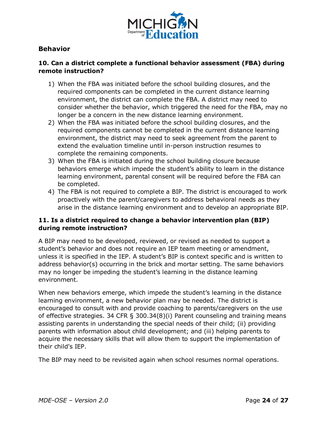

#### <span id="page-23-0"></span>**Behavior**

#### **10. Can a district complete a functional behavior assessment (FBA) during remote instruction?**

- 1) When the FBA was initiated before the school building closures, and the required components can be completed in the current distance learning environment, the district can complete the FBA. A district may need to consider whether the behavior, which triggered the need for the FBA, may no longer be a concern in the new distance learning environment.
- 2) When the FBA was initiated before the school building closures, and the required components cannot be completed in the current distance learning environment, the district may need to seek agreement from the parent to extend the evaluation timeline until in-person instruction resumes to complete the remaining components.
- 3) When the FBA is initiated during the school building closure because behaviors emerge which impede the student's ability to learn in the distance learning environment, parental consent will be required before the FBA can be completed.
- 4) The FBA is not required to complete a BIP. The district is encouraged to work proactively with the parent/caregivers to address behavioral needs as they arise in the distance learning environment and to develop an appropriate BIP.

#### **11. Is a district required to change a behavior intervention plan (BIP) during remote instruction?**

A BIP may need to be developed, reviewed, or revised as needed to support a student's behavior and does not require an IEP team meeting or amendment, unless it is specified in the IEP. A student's BIP is context specific and is written to address behavior(s) occurring in the brick and mortar setting. The same behaviors may no longer be impeding the student's learning in the distance learning environment.

When new behaviors emerge, which impede the student's learning in the distance learning environment, a new behavior plan may be needed. The district is encouraged to consult with and provide coaching to parents/caregivers on the use of effective strategies. 34 CFR § 300.34(8)(i) Parent counseling and training means assisting parents in understanding the special needs of their child; (ii) providing parents with information about child development; and (iii) helping parents to acquire the necessary skills that will allow them to support the implementation of their child's IEP.

The BIP may need to be revisited again when school resumes normal operations.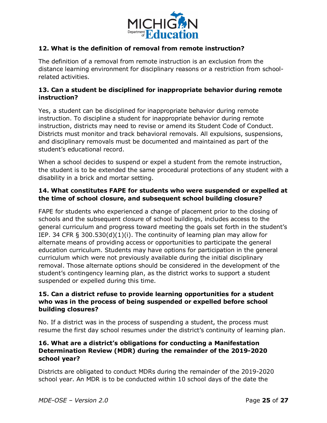

#### **12. What is the definition of removal from remote instruction?**

The definition of a removal from remote instruction is an exclusion from the distance learning environment for disciplinary reasons or a restriction from schoolrelated activities.

#### **13. Can a student be disciplined for inappropriate behavior during remote instruction?**

Yes, a student can be disciplined for inappropriate behavior during remote instruction. To discipline a student for inappropriate behavior during remote instruction, districts may need to revise or amend its Student Code of Conduct. Districts must monitor and track behavioral removals. All expulsions, suspensions, and disciplinary removals must be documented and maintained as part of the student's educational record.

When a school decides to suspend or expel a student from the remote instruction, the student is to be extended the same procedural protections of any student with a disability in a brick and mortar setting.

#### **14. What constitutes FAPE for students who were suspended or expelled at the time of school closure, and subsequent school building closure?**

FAPE for students who experienced a change of placement prior to the closing of schools and the subsequent closure of school buildings, includes access to the general curriculum and progress toward meeting the goals set forth in the student's IEP. 34 CFR § 300.530(d)(1)(i). The continuity of learning plan may allow for alternate means of providing access or opportunities to participate the general education curriculum. Students may have options for participation in the general curriculum which were not previously available during the initial disciplinary removal. Those alternate options should be considered in the development of the student's contingency learning plan, as the district works to support a student suspended or expelled during this time.

#### **15. Can a district refuse to provide learning opportunities for a student who was in the process of being suspended or expelled before school building closures?**

No. If a district was in the process of suspending a student, the process must resume the first day school resumes under the district's continuity of learning plan.

#### **16. What are a district's obligations for conducting a Manifestation Determination Review (MDR) during the remainder of the 2019-2020 school year?**

Districts are obligated to conduct MDRs during the remainder of the 2019-2020 school year. An MDR is to be conducted within 10 school days of the date the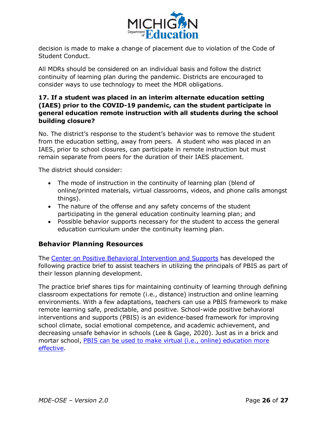

decision is made to make a change of placement due to violation of the Code of Student Conduct.

All MDRs should be considered on an individual basis and follow the district continuity of learning plan during the pandemic. Districts are encouraged to consider ways to use technology to meet the MDR obligations.

#### **17. If a student was placed in an interim alternate education setting (IAES) prior to the COVID-19 pandemic, can the student participate in general education remote instruction with all students during the school building closure?**

No. The district's response to the student's behavior was to remove the student from the education setting, away from peers. A student who was placed in an IAES, prior to school closures, can participate in remote instruction but must remain separate from peers for the duration of their IAES placement.

The district should consider:

- The mode of instruction in the continuity of learning plan (blend of online/printed materials, virtual classrooms, videos, and phone calls amongst things).
- · The nature of the offense and any safety concerns of the student participating in the general education continuity learning plan; and
- · Possible behavior supports necessary for the student to access the general education curriculum under the continuity learning plan.

#### <span id="page-25-0"></span>**Behavior Planning Resources**

The [Center on Positive Behavioral Intervention and Supports](https://www.pbis.org/) has developed the following practice brief to assist teachers in utilizing the principals of PBIS as part of their lesson planning development.

The practice brief shares tips for maintaining continuity of learning through defining classroom expectations for remote (i.e., distance) instruction and online learning environments. With a few adaptations, teachers can use a PBIS framework to make remote learning safe, predictable, and positive. School-wide positive behavioral interventions and supports (PBIS) is an evidence-based framework for improving school climate, social emotional competence, and academic achievement, and decreasing unsafe behavior in schools (Lee & Gage, 2020). Just as in a brick and mortar school, [PBIS can be used to make virtual \(i.e., online\) education more](https://www.pbis.org/resource/creating-a-pbis-behavior-teaching-matrix-for-remote-instruction)  [effective](https://www.pbis.org/resource/creating-a-pbis-behavior-teaching-matrix-for-remote-instruction).